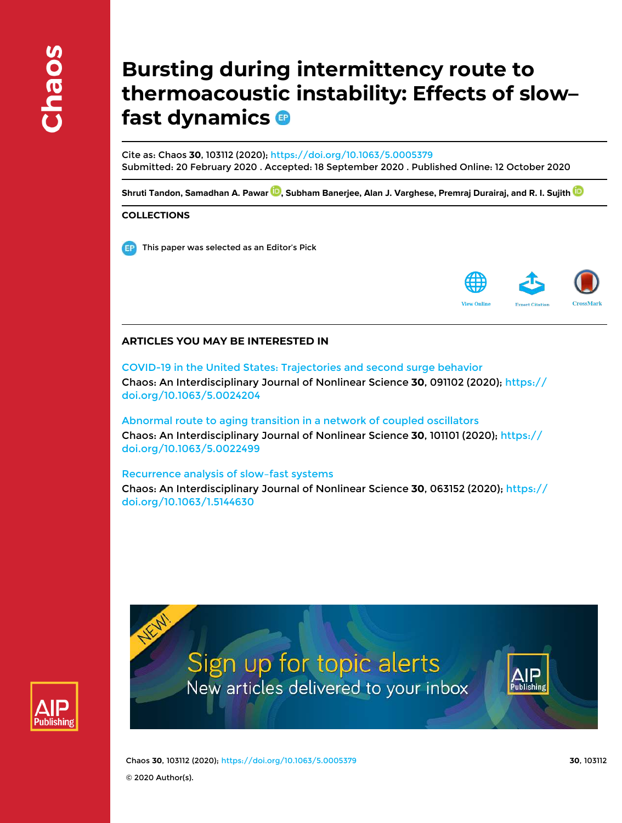# **Bursting during intermittency route to thermoacoustic instability: Effects of slow– fast dynamics**

Cite as: Chaos **30**, 103112 (2020); https://doi.org/10.1063/5.0005379 Submitted: 20 February 2020 . Accepted: 18 September 2020 . Published Online: 12 October 2020

Shruti Tandon, Samadhan A. Pawar <sup>(D</sup>), Subham Banerjee, Alan J. Varghese, Premraj Durairaj, and R. I. Sujith <sup>(D</sup>

## **COLLECTIONS**

**This paper was selected as an Editor's Pick** 



## **ARTICLES YOU MAY BE INTERESTED IN**

COVID-19 in the United States: Trajectories and second surge behavior Chaos: An Interdisciplinary Journal of Nonlinear Science **30**, 091102 (2020); https:// doi.org/10.1063/5.0024204

Abnormal route to aging transition in a network of coupled oscillators Chaos: An Interdisciplinary Journal of Nonlinear Science **30**, 101101 (2020); https:// doi.org/10.1063/5.0022499

Recurrence analysis of slow–fast systems Chaos: An Interdisciplinary Journal of Nonlinear Science **30**, 063152 (2020); https:// doi.org/10.1063/1.5144630



Sign up for topic alerts New articles delivered to your inbox



Chaos **30**, 103112 (2020); https://doi.org/10.1063/5.0005379 **30**, 103112 © 2020 Author(s).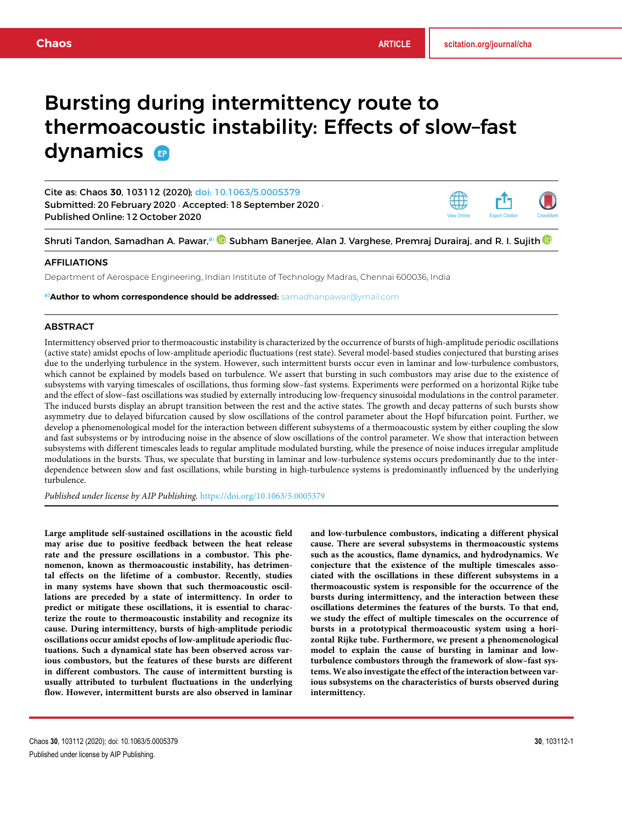## Bursting during intermittency route to thermoacoustic instability: Effects of slow–fast dynamics **a**

Cite as: Chaos **30**, 103112 (2020); doi: 10.1063/5.0005379 Submitted: 20 February 2020 · Accepted: 18 September 2020 · Published Online: 12 October 2020

Shruti Tandon, Samadhan A. Pawar,<sup>a)</sup> **O** Subham Banerjee, Alan J. Varghese, Premraj Durairaj, and R. I. Sujith **O** 

#### AFFILIATIONS

Department of Aerospace Engineering, Indian Institute of Technology Madras, Chennai 600036, India

a)**Author to whom correspondence should be addressed:** samadhanpawar@ymail.com

#### **ABSTRACT**

Intermittency observed prior to thermoacoustic instability is characterized by the occurrence of bursts of high-amplitude periodic oscillations (active state) amidst epochs of low-amplitude aperiodic fluctuations (rest state). Several model-based studies conjectured that bursting arises due to the underlying turbulence in the system. However, such intermittent bursts occur even in laminar and low-turbulence combustors, which cannot be explained by models based on turbulence. We assert that bursting in such combustors may arise due to the existence of subsystems with varying timescales of oscillations, thus forming slow–fast systems. Experiments were performed on a horizontal Rijke tube and the effect of slow–fast oscillations was studied by externally introducing low-frequency sinusoidal modulations in the control parameter. The induced bursts display an abrupt transition between the rest and the active states. The growth and decay patterns of such bursts show asymmetry due to delayed bifurcation caused by slow oscillations of the control parameter about the Hopf bifurcation point. Further, we develop a phenomenological model for the interaction between different subsystems of a thermoacoustic system by either coupling the slow and fast subsystems or by introducing noise in the absence of slow oscillations of the control parameter. We show that interaction between subsystems with different timescales leads to regular amplitude modulated bursting, while the presence of noise induces irregular amplitude modulations in the bursts. Thus, we speculate that bursting in laminar and low-turbulence systems occurs predominantly due to the interdependence between slow and fast oscillations, while bursting in high-turbulence systems is predominantly influenced by the underlying turbulence.

*Published under license by AIP Publishing.* https://doi.org/10.1063/5.0005379

**Large amplitude self-sustained oscillations in the acoustic field may arise due to positive feedback between the heat release rate and the pressure oscillations in a combustor. This phenomenon, known as thermoacoustic instability, has detrimental effects on the lifetime of a combustor. Recently, studies in many systems have shown that such thermoacoustic oscillations are preceded by a state of intermittency. In order to predict or mitigate these oscillations, it is essential to characterize the route to thermoacoustic instability and recognize its cause. During intermittency, bursts of high-amplitude periodic oscillations occur amidst epochs of low-amplitude aperiodic fluctuations. Such a dynamical state has been observed across various combustors, but the features of these bursts are different in different combustors. The cause of intermittent bursting is usually attributed to turbulent fluctuations in the underlying flow. However, intermittent bursts are also observed in laminar**

**and low-turbulence combustors, indicating a different physical cause. There are several subsystems in thermoacoustic systems such as the acoustics, flame dynamics, and hydrodynamics. We conjecture that the existence of the multiple timescales associated with the oscillations in these different subsystems in a thermoacoustic system is responsible for the occurrence of the bursts during intermittency, and the interaction between these oscillations determines the features of the bursts. To that end, we study the effect of multiple timescales on the occurrence of bursts in a prototypical thermoacoustic system using a horizontal Rijke tube. Furthermore, we present a phenomenological model to explain the cause of bursting in laminar and lowturbulence combustors through the framework of slow–fast systems. We also investigate the effect of the interaction between various subsystems on the characteristics of bursts observed during intermittency.**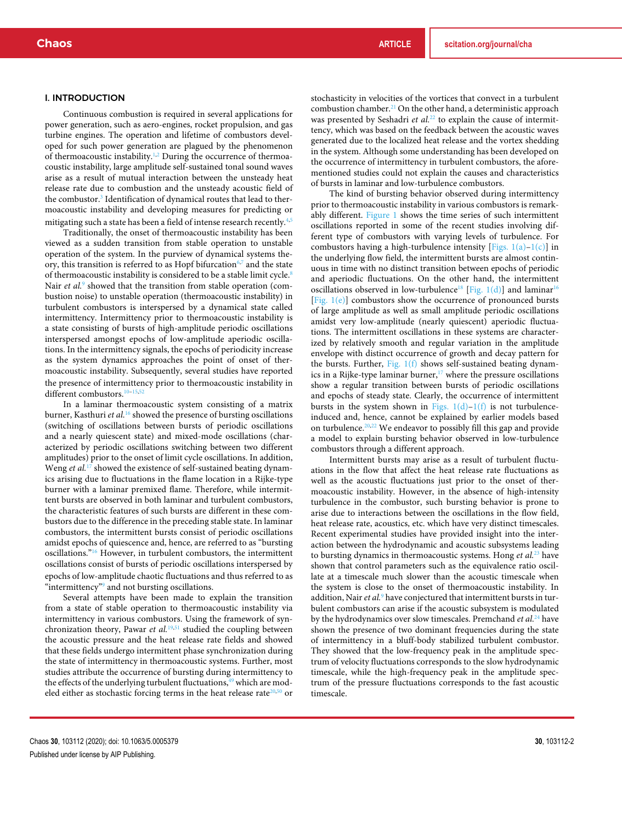#### I. INTRODUCTION

Continuous combustion is required in several applications for power generation, such as aero-engines, rocket propulsion, and gas turbine engines. The operation and lifetime of combustors developed for such power generation are plagued by the phenomenon of thermoacoustic instability.<sup>1,2</sup> During the occurrence of thermoacoustic instability, large amplitude self-sustained tonal sound waves arise as a result of mutual interaction between the unsteady heat release rate due to combustion and the unsteady acoustic field of the combustor.<sup>3</sup> Identification of dynamical routes that lead to thermoacoustic instability and developing measures for predicting or mitigating such a state has been a field of intense research recently.<sup>4,5</sup>

Traditionally, the onset of thermoacoustic instability has been viewed as a sudden transition from stable operation to unstable operation of the system. In the purview of dynamical systems theory, this transition is referred to as Hopf bifurcation<sup>6,7</sup> and the state of thermoacoustic instability is considered to be a stable limit cycle.<sup>8</sup> Nair et al.<sup>9</sup> showed that the transition from stable operation (combustion noise) to unstable operation (thermoacoustic instability) in turbulent combustors is interspersed by a dynamical state called intermittency. Intermittency prior to thermoacoustic instability is a state consisting of bursts of high-amplitude periodic oscillations interspersed amongst epochs of low-amplitude aperiodic oscillations. In the intermittency signals, the epochs of periodicity increase as the system dynamics approaches the point of onset of thermoacoustic instability. Subsequently, several studies have reported the presence of intermittency prior to thermoacoustic instability in different combustors.<sup>10-15,52</sup>

In a laminar thermoacoustic system consisting of a matrix burner, Kasthuri *et al.*<sup>16</sup> showed the presence of bursting oscillations (switching of oscillations between bursts of periodic oscillations and a nearly quiescent state) and mixed-mode oscillations (characterized by periodic oscillations switching between two different amplitudes) prior to the onset of limit cycle oscillations. In addition, Weng *et al.*<sup>17</sup> showed the existence of self-sustained beating dynamics arising due to fluctuations in the flame location in a Rijke-type burner with a laminar premixed flame. Therefore, while intermittent bursts are observed in both laminar and turbulent combustors, the characteristic features of such bursts are different in these combustors due to the difference in the preceding stable state. In laminar combustors, the intermittent bursts consist of periodic oscillations amidst epochs of quiescence and, hence, are referred to as "bursting oscillations."<sup>16</sup> However, in turbulent combustors, the intermittent oscillations consist of bursts of periodic oscillations interspersed by epochs of low-amplitude chaotic fluctuations and thus referred to as "intermittency"<sup>9</sup> and not bursting oscillations.

Several attempts have been made to explain the transition from a state of stable operation to thermoacoustic instability via intermittency in various combustors. Using the framework of synchronization theory, Pawar et al.<sup>19,51</sup> studied the coupling between the acoustic pressure and the heat release rate fields and showed that these fields undergo intermittent phase synchronization during the state of intermittency in thermoacoustic systems. Further, most studies attribute the occurrence of bursting during intermittency to the effects of the underlying turbulent fluctuations,<sup>49</sup> which are modeled either as stochastic forcing terms in the heat release rate $20,50$  or

stochasticity in velocities of the vortices that convect in a turbulent combustion chamber.<sup>21</sup> On the other hand, a deterministic approach was presented by Seshadri et al.<sup>22</sup> to explain the cause of intermittency, which was based on the feedback between the acoustic waves generated due to the localized heat release and the vortex shedding in the system. Although some understanding has been developed on the occurrence of intermittency in turbulent combustors, the aforementioned studies could not explain the causes and characteristics of bursts in laminar and low-turbulence combustors.

The kind of bursting behavior observed during intermittency prior to thermoacoustic instability in various combustors is remarkably different. Figure 1 shows the time series of such intermittent oscillations reported in some of the recent studies involving different type of combustors with varying levels of turbulence. For combustors having a high-turbulence intensity [Figs.  $1(a)-1(c)$ ] in the underlying flow field, the intermittent bursts are almost continuous in time with no distinct transition between epochs of periodic and aperiodic fluctuations. On the other hand, the intermittent oscillations observed in low-turbulence<sup>18</sup> [Fig. 1(d)] and laminar<sup>16</sup> [Fig. 1(e)] combustors show the occurrence of pronounced bursts of large amplitude as well as small amplitude periodic oscillations amidst very low-amplitude (nearly quiescent) aperiodic fluctuations. The intermittent oscillations in these systems are characterized by relatively smooth and regular variation in the amplitude envelope with distinct occurrence of growth and decay pattern for the bursts. Further, Fig.  $1(f)$  shows self-sustained beating dynamics in a Rijke-type laminar burner, $17$  where the pressure oscillations show a regular transition between bursts of periodic oscillations and epochs of steady state. Clearly, the occurrence of intermittent bursts in the system shown in Figs.  $1(d)-1(f)$  is not turbulenceinduced and, hence, cannot be explained by earlier models based on turbulence. $20,22$  We endeavor to possibly fill this gap and provide a model to explain bursting behavior observed in low-turbulence combustors through a different approach.

Intermittent bursts may arise as a result of turbulent fluctuations in the flow that affect the heat release rate fluctuations as well as the acoustic fluctuations just prior to the onset of thermoacoustic instability. However, in the absence of high-intensity turbulence in the combustor, such bursting behavior is prone to arise due to interactions between the oscillations in the flow field, heat release rate, acoustics, etc. which have very distinct timescales. Recent experimental studies have provided insight into the interaction between the hydrodynamic and acoustic subsystems leading to bursting dynamics in thermoacoustic systems. Hong *et al.*<sup>23</sup> have shown that control parameters such as the equivalence ratio oscillate at a timescale much slower than the acoustic timescale when the system is close to the onset of thermoacoustic instability. In addition, Nair *et al.*<sup>9</sup> have conjectured that intermittent bursts in turbulent combustors can arise if the acoustic subsystem is modulated by the hydrodynamics over slow timescales. Premchand *et al.*<sup>24</sup> have shown the presence of two dominant frequencies during the state of intermittency in a bluff-body stabilized turbulent combustor. They showed that the low-frequency peak in the amplitude spectrum of velocity fluctuations corresponds to the slow hydrodynamic timescale, while the high-frequency peak in the amplitude spectrum of the pressure fluctuations corresponds to the fast acoustic timescale.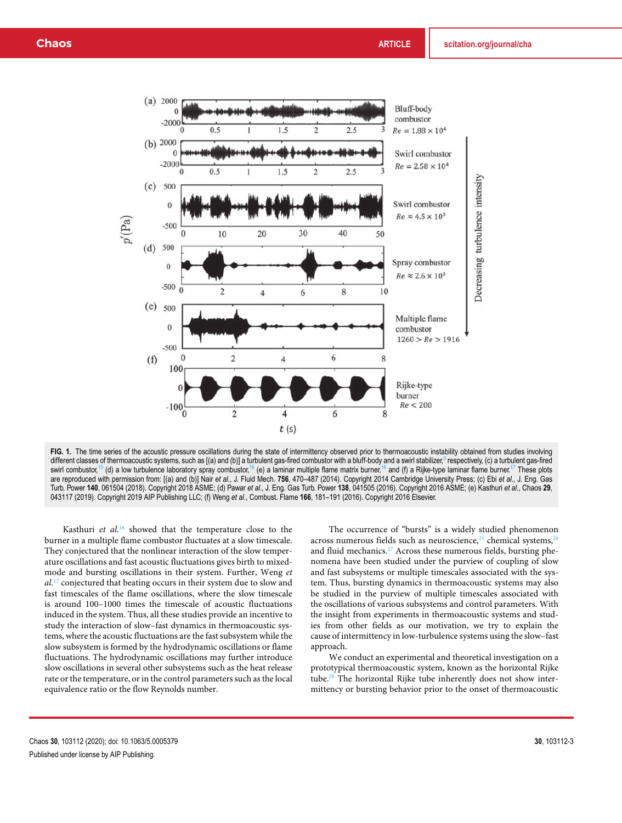

FIG. 1. The time series of the acoustic pressure oscillations during the state of intermittency observed prior to thermoacoustic instability obtained from studies involving different classes of thermoacoustic systems, such as [(a) and (b)] a turbulent gas-fired combustor with a bluff-body and a swirl stabilizer,<sup>9</sup> respectively, (c) a turbulent gas-fired swirl combustor,<sup>15</sup> (d) a low turbulence laboratory spray combustor,<sup>18</sup> (e) a laminar multiple flame matrix burner,<sup>16</sup> and (f) a Rijke-type laminar flame burner.<sup>17</sup> These plots are reproduced with permission from: [(a) and (b)] Nair *et al*., J. Fluid Mech. **756**, 470–487 (2014). Copyright 2014 Cambridge University Press; (c) Ebi *et al*., J. Eng. Gas Turb. Power **140**, 061504 (2018). Copyright 2018 ASME; (d) Pawar *et al*., J. Eng. Gas Turb. Power **138**, 041505 (2016). Copyright 2016 ASME; (e) Kasthuri *et al*., Chaos **29**, 043117 (2019). Copyright 2019 AIP Publishing LLC; (f) Weng *et al*., Combust. Flame **166**, 181–191 (2016). Copyright 2016 Elsevier.

Kasthuri *et al.*<sup>16</sup> showed that the temperature close to the burner in a multiple flame combustor fluctuates at a slow timescale. They conjectured that the nonlinear interaction of the slow temperature oscillations and fast acoustic fluctuations gives birth to mixedmode and bursting oscillations in their system. Further, Weng *et al.*<sup>17</sup> conjectured that beating occurs in their system due to slow and fast timescales of the flame oscillations, where the slow timescale is around 100–1000 times the timescale of acoustic fluctuations induced in the system. Thus, all these studies provide an incentive to study the interaction of slow–fast dynamics in thermoacoustic systems, where the acoustic fluctuations are the fast subsystem while the slow subsystem is formed by the hydrodynamic oscillations or flame fluctuations. The hydrodynamic oscillations may further introduce slow oscillations in several other subsystems such as the heat release rate or the temperature, or in the control parameters such as the local equivalence ratio or the flow Reynolds number.

The occurrence of "bursts" is a widely studied phenomenon across numerous fields such as neuroscience, $25$  chemical systems,  $26$ and fluid mechanics.<sup>27</sup> Across these numerous fields, bursting phenomena have been studied under the purview of coupling of slow and fast subsystems or multiple timescales associated with the system. Thus, bursting dynamics in thermoacoustic systems may also be studied in the purview of multiple timescales associated with the oscillations of various subsystems and control parameters. With the insight from experiments in thermoacoustic systems and studies from other fields as our motivation, we try to explain the cause of intermittency in low-turbulence systems using the slow–fast approach.

We conduct an experimental and theoretical investigation on a prototypical thermoacoustic system, known as the horizontal Rijke tube.<sup>28</sup> The horizontal Rijke tube inherently does not show intermittency or bursting behavior prior to the onset of thermoacoustic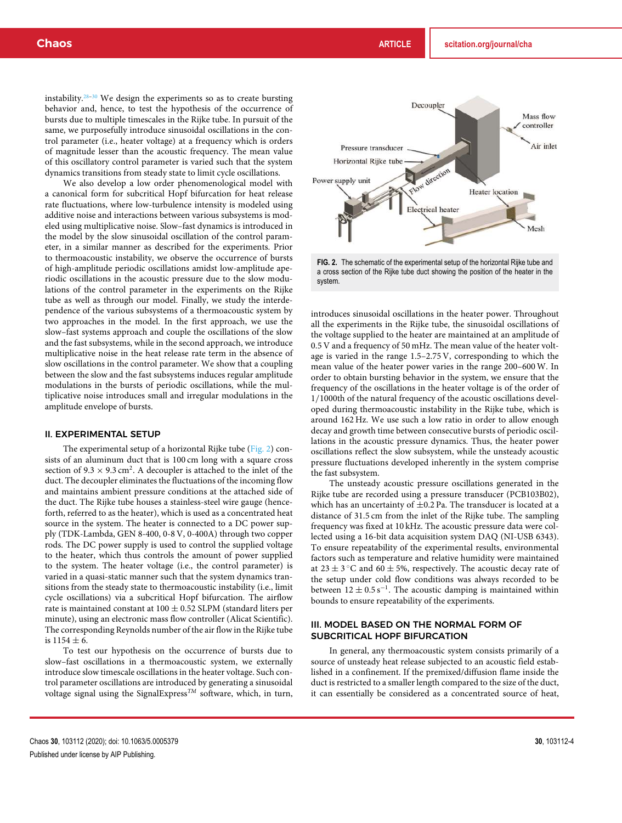instability.<sup>28–30</sup> We design the experiments so as to create bursting behavior and, hence, to test the hypothesis of the occurrence of bursts due to multiple timescales in the Rijke tube. In pursuit of the same, we purposefully introduce sinusoidal oscillations in the control parameter (i.e., heater voltage) at a frequency which is orders of magnitude lesser than the acoustic frequency. The mean value of this oscillatory control parameter is varied such that the system dynamics transitions from steady state to limit cycle oscillations.

We also develop a low order phenomenological model with a canonical form for subcritical Hopf bifurcation for heat release rate fluctuations, where low-turbulence intensity is modeled using additive noise and interactions between various subsystems is modeled using multiplicative noise. Slow–fast dynamics is introduced in the model by the slow sinusoidal oscillation of the control parameter, in a similar manner as described for the experiments. Prior to thermoacoustic instability, we observe the occurrence of bursts of high-amplitude periodic oscillations amidst low-amplitude aperiodic oscillations in the acoustic pressure due to the slow modulations of the control parameter in the experiments on the Rijke tube as well as through our model. Finally, we study the interdependence of the various subsystems of a thermoacoustic system by two approaches in the model. In the first approach, we use the slow–fast systems approach and couple the oscillations of the slow and the fast subsystems, while in the second approach, we introduce multiplicative noise in the heat release rate term in the absence of slow oscillations in the control parameter. We show that a coupling between the slow and the fast subsystems induces regular amplitude modulations in the bursts of periodic oscillations, while the multiplicative noise introduces small and irregular modulations in the amplitude envelope of bursts.

#### II. EXPERIMENTAL SETUP

The experimental setup of a horizontal Rijke tube (Fig. 2) consists of an aluminum duct that is 100 cm long with a square cross section of  $9.3 \times 9.3$  cm<sup>2</sup>. A decoupler is attached to the inlet of the duct. The decoupler eliminates the fluctuations of the incoming flow and maintains ambient pressure conditions at the attached side of the duct. The Rijke tube houses a stainless-steel wire gauge (henceforth, referred to as the heater), which is used as a concentrated heat source in the system. The heater is connected to a DC power supply (TDK-Lambda, GEN 8-400, 0-8 V, 0-400A) through two copper rods. The DC power supply is used to control the supplied voltage to the heater, which thus controls the amount of power supplied to the system. The heater voltage (i.e., the control parameter) is varied in a quasi-static manner such that the system dynamics transitions from the steady state to thermoacoustic instability (i.e., limit cycle oscillations) via a subcritical Hopf bifurcation. The airflow rate is maintained constant at  $100 \pm 0.52$  SLPM (standard liters per minute), using an electronic mass flow controller (Alicat Scientific). The corresponding Reynolds number of the air flow in the Rijke tube is  $1154 \pm 6$ .

To test our hypothesis on the occurrence of bursts due to slow–fast oscillations in a thermoacoustic system, we externally introduce slow timescale oscillations in the heater voltage. Such control parameter oscillations are introduced by generating a sinusoidal voltage signal using the SignalExpress*TM* software, which, in turn,



**FIG. 2.** The schematic of the experimental setup of the horizontal Rijke tube and a cross section of the Rijke tube duct showing the position of the heater in the system.

introduces sinusoidal oscillations in the heater power. Throughout all the experiments in the Rijke tube, the sinusoidal oscillations of the voltage supplied to the heater are maintained at an amplitude of 0.5 V and a frequency of 50 mHz. The mean value of the heater voltage is varied in the range 1.5–2.75 V, corresponding to which the mean value of the heater power varies in the range 200–600 W. In order to obtain bursting behavior in the system, we ensure that the frequency of the oscillations in the heater voltage is of the order of 1/1000th of the natural frequency of the acoustic oscillations developed during thermoacoustic instability in the Rijke tube, which is around 162 Hz. We use such a low ratio in order to allow enough decay and growth time between consecutive bursts of periodic oscillations in the acoustic pressure dynamics. Thus, the heater power oscillations reflect the slow subsystem, while the unsteady acoustic pressure fluctuations developed inherently in the system comprise the fast subsystem.

The unsteady acoustic pressure oscillations generated in the Rijke tube are recorded using a pressure transducer (PCB103B02), which has an uncertainty of  $\pm$ 0.2 Pa. The transducer is located at a distance of 31.5 cm from the inlet of the Rijke tube. The sampling frequency was fixed at 10 kHz. The acoustic pressure data were collected using a 16-bit data acquisition system DAQ (NI-USB 6343). To ensure repeatability of the experimental results, environmental factors such as temperature and relative humidity were maintained at 23  $\pm$  3 °C and 60  $\pm$  5%, respectively. The acoustic decay rate of the setup under cold flow conditions was always recorded to be between  $12 \pm 0.5 \,\mathrm{s}^{-1}$ . The acoustic damping is maintained within bounds to ensure repeatability of the experiments.

## III. MODEL BASED ON THE NORMAL FORM OF SUBCRITICAL HOPF BIFURCATION

In general, any thermoacoustic system consists primarily of a source of unsteady heat release subjected to an acoustic field established in a confinement. If the premixed/diffusion flame inside the duct is restricted to a smaller length compared to the size of the duct, it can essentially be considered as a concentrated source of heat,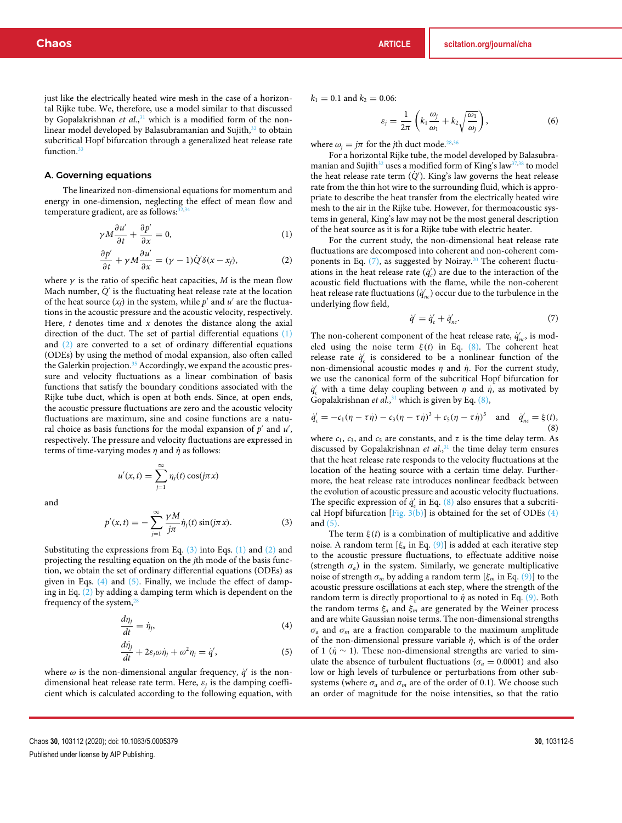just like the electrically heated wire mesh in the case of a horizontal Rijke tube. We, therefore, use a model similar to that discussed by Gopalakrishnan *et al.*, <sup>31</sup> which is a modified form of the nonlinear model developed by Balasubramanian and Sujith,<sup>32</sup> to obtain subcritical Hopf bifurcation through a generalized heat release rate function.<sup>33</sup>

### A. Governing equations

The linearized non-dimensional equations for momentum and energy in one-dimension, neglecting the effect of mean flow and temperature gradient, are as follows: $32$ 

$$
\gamma M \frac{\partial u'}{\partial t} + \frac{\partial p'}{\partial x} = 0, \tag{1}
$$

$$
\frac{\partial p'}{\partial t} + \gamma M \frac{\partial u'}{\partial x} = (\gamma - 1)\dot{Q}'\delta(x - x_f),\tag{2}
$$

where  $\gamma$  is the ratio of specific heat capacities,  $M$  is the mean flow Mach number,  $\dot{Q}$  is the fluctuating heat release rate at the location of the heat source  $(x_f)$  in the system, while  $p'$  and  $u'$  are the fluctuations in the acoustic pressure and the acoustic velocity, respectively. Here,  $t$  denotes time and  $x$  denotes the distance along the axial direction of the duct. The set of partial differential equations  $(1)$ and (2) are converted to a set of ordinary differential equations (ODEs) by using the method of modal expansion, also often called the Galerkin projection.<sup>35</sup> Accordingly, we expand the acoustic pressure and velocity fluctuations as a linear combination of basis functions that satisfy the boundary conditions associated with the Rijke tube duct, which is open at both ends. Since, at open ends, the acoustic pressure fluctuations are zero and the acoustic velocity fluctuations are maximum, sine and cosine functions are a natural choice as basis functions for the modal expansion of  $p'$  and  $u'$ , respectively. The pressure and velocity fluctuations are expressed in terms of time-varying modes  $\eta$  and  $\dot{\eta}$  as follows:

and

$$
p'(x,t) = -\sum_{j=1}^{\infty} \frac{\gamma M}{j\pi} \dot{\eta}_j(t) \sin(j\pi x).
$$
 (3)

η*j*(*t*) cos(*j*π*x*)

Substituting the expressions from Eq. (3) into Eqs. (1) and (2) and projecting the resulting equation on the *j*th mode of the basis function, we obtain the set of ordinary differential equations (ODEs) as given in Eqs.  $(4)$  and  $(5)$ . Finally, we include the effect of damping in Eq. (2) by adding a damping term which is dependent on the frequency of the system, $<sup>2</sup>$ </sup>

 $u'(x,t) = \sum_{n=0}^{\infty}$ 

*j*=1

$$
\frac{d\eta_j}{dt} = \dot{\eta}_j,\tag{4}
$$

$$
\frac{d\dot{\eta}_j}{dt} + 2\varepsilon_j \omega \dot{\eta}_j + \omega^2 \eta_j = \dot{q}',\tag{5}
$$

where  $\omega$  is the non-dimensional angular frequency,  $\dot{q}'$  is the nondimensional heat release rate term. Here,  $\varepsilon_j$  is the damping coefficient which is calculated according to the following equation, with  $k_1 = 0.1$  and  $k_2 = 0.06$ :

$$
\varepsilon_j = \frac{1}{2\pi} \left( k_1 \frac{\omega_j}{\omega_1} + k_2 \sqrt{\frac{\omega_1}{\omega_j}} \right),\tag{6}
$$

where  $\omega_i = j\pi$  for the *j*th duct mode.<sup>28,36</sup>

For a horizontal Rijke tube, the model developed by Balasubramanian and Sujith<sup>32</sup> uses a modified form of King's law<sup>37,38</sup> to model the heat release rate term ( $\dot{Q}'$ ). King's law governs the heat release rate from the thin hot wire to the surrounding fluid, which is appropriate to describe the heat transfer from the electrically heated wire mesh to the air in the Rijke tube. However, for thermoacoustic systems in general, King's law may not be the most general description of the heat source as it is for a Rijke tube with electric heater.

For the current study, the non-dimensional heat release rate fluctuations are decomposed into coherent and non-coherent components in Eq.  $(7)$ , as suggested by Noiray.<sup>20</sup> The coherent fluctuations in the heat release rate  $(q'_c)$  are due to the interaction of the acoustic field fluctuations with the flame, while the non-coherent heat release rate fluctuations  $(\dot{q}'_{nc})$  occur due to the turbulence in the underlying flow field,

$$
\dot{q}' = \dot{q}'_c + \dot{q}'_{nc}.\tag{7}
$$

The non-coherent component of the heat release rate,  $\dot{q}^{\prime}_{nc}$ , is modeled using the noise term  $\xi(t)$  in Eq. (8). The coherent heat release rate  $\dot{q}'_c$  is considered to be a nonlinear function of the non-dimensional acoustic modes  $\eta$  and  $\dot{\eta}$ . For the current study, we use the canonical form of the subcritical Hopf bifurcation for  $\dot{q}'_c$  with a time delay coupling between  $\eta$  and  $\dot{\eta}$ , as motivated by Gopalakrishnan *et al.*, <sup>31</sup> which is given by Eq. (8),

$$
\dot{q}'_c = -c_1(\eta - \tau \dot{\eta}) - c_3(\eta - \tau \dot{\eta})^3 + c_5(\eta - \tau \dot{\eta})^5 \text{ and } \dot{q}'_{nc} = \xi(t),
$$
\n(8)

where  $c_1$ ,  $c_3$ , and  $c_5$  are constants, and  $\tau$  is the time delay term. As discussed by Gopalakrishnan *et al.*, <sup>31</sup> the time delay term ensures that the heat release rate responds to the velocity fluctuations at the location of the heating source with a certain time delay. Furthermore, the heat release rate introduces nonlinear feedback between the evolution of acoustic pressure and acoustic velocity fluctuations. The specific expression of  $\dot{q}'_c$  in Eq. (8) also ensures that a subcritical Hopf bifurcation  $[Fig. 3(b)]$  is obtained for the set of ODEs  $(4)$ and (5).

The term  $\xi(t)$  is a combination of multiplicative and additive noise. A random term [ξ*<sup>a</sup>* in Eq. (9)] is added at each iterative step to the acoustic pressure fluctuations, to effectuate additive noise (strength  $\sigma_a$ ) in the system. Similarly, we generate multiplicative noise of strength σ*<sup>m</sup>* by adding a random term [ξ*<sup>m</sup>* in Eq. (9)] to the acoustic pressure oscillations at each step, where the strength of the random term is directly proportional to  $\eta$  as noted in Eq. (9). Both the random terms ξ*<sup>a</sup>* and ξ*<sup>m</sup>* are generated by the Weiner process and are white Gaussian noise terms. The non-dimensional strengths  $\sigma_a$  and  $\sigma_m$  are a fraction comparable to the maximum amplitude of the non-dimensional pressure variable  $\eta$ , which is of the order of 1 ( $\dot{\eta} \sim$  1). These non-dimensional strengths are varied to simulate the absence of turbulent fluctuations ( $\sigma_a = 0.0001$ ) and also low or high levels of turbulence or perturbations from other subsystems (where  $\sigma_a$  and  $\sigma_m$  are of the order of 0.1). We choose such an order of magnitude for the noise intensities, so that the ratio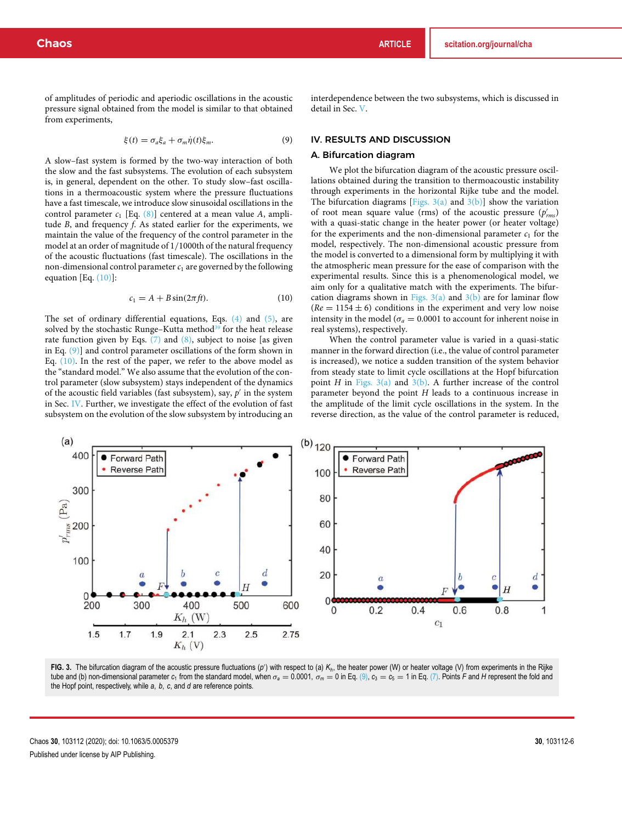of amplitudes of periodic and aperiodic oscillations in the acoustic pressure signal obtained from the model is similar to that obtained from experiments,

$$
\xi(t) = \sigma_a \xi_a + \sigma_m \dot{\eta}(t) \xi_m. \tag{9}
$$

A slow–fast system is formed by the two-way interaction of both the slow and the fast subsystems. The evolution of each subsystem is, in general, dependent on the other. To study slow–fast oscillations in a thermoacoustic system where the pressure fluctuations have a fast timescale, we introduce slow sinusoidal oscillations in the control parameter *c*<sup>1</sup> [Eq. (8)] centered at a mean value *A*, amplitude *B*, and frequency *f*. As stated earlier for the experiments, we maintain the value of the frequency of the control parameter in the model at an order of magnitude of 1/1000th of the natural frequency of the acoustic fluctuations (fast timescale). The oscillations in the non-dimensional control parameter  $c_1$  are governed by the following equation [Eq.  $(10)$ ]:

$$
c_1 = A + B\sin(2\pi ft). \tag{10}
$$

The set of ordinary differential equations, Eqs. (4) and (5), are solved by the stochastic Runge–Kutta method<sup>39</sup> for the heat release rate function given by Eqs.  $(7)$  and  $(8)$ , subject to noise [as given in Eq. (9)] and control parameter oscillations of the form shown in Eq. (10). In the rest of the paper, we refer to the above model as the "standard model." We also assume that the evolution of the control parameter (slow subsystem) stays independent of the dynamics of the acoustic field variables (fast subsystem), say,  $p'$  in the system in Sec. IV. Further, we investigate the effect of the evolution of fast subsystem on the evolution of the slow subsystem by introducing an

interdependence between the two subsystems, which is discussed in detail in Sec. V.

## IV. RESULTS AND DISCUSSION

#### A. Bifurcation diagram

We plot the bifurcation diagram of the acoustic pressure oscillations obtained during the transition to thermoacoustic instability through experiments in the horizontal Rijke tube and the model. The bifurcation diagrams [Figs.  $3(a)$  and  $3(b)$ ] show the variation of root mean square value (rms) of the acoustic pressure ( $p'_{rms}$ ) with a quasi-static change in the heater power (or heater voltage) for the experiments and the non-dimensional parameter  $c_1$  for the model, respectively. The non-dimensional acoustic pressure from the model is converted to a dimensional form by multiplying it with the atmospheric mean pressure for the ease of comparison with the experimental results. Since this is a phenomenological model, we aim only for a qualitative match with the experiments. The bifurcation diagrams shown in Figs.  $3(a)$  and  $3(b)$  are for laminar flow  $(Re = 1154 \pm 6)$  conditions in the experiment and very low noise intensity in the model ( $\sigma_a = 0.0001$  to account for inherent noise in real systems), respectively.

When the control parameter value is varied in a quasi-static manner in the forward direction (i.e., the value of control parameter is increased), we notice a sudden transition of the system behavior from steady state to limit cycle oscillations at the Hopf bifurcation point *H* in Figs.  $3(a)$  and  $3(b)$ . A further increase of the control parameter beyond the point *H* leads to a continuous increase in the amplitude of the limit cycle oscillations in the system. In the reverse direction, as the value of the control parameter is reduced,



FIG. 3. The bifurcation diagram of the acoustic pressure fluctuations (p') with respect to (a) K<sub>*h*</sub>, the heater power (W) or heater voltage (V) from experiments in the Rijke tube and (b) non-dimensional parameter  $c_1$  from the standard model, when  $\sigma_a = 0.0001$ ,  $\sigma_m = 0$  in Eq. (9),  $c_3 = c_5 = 1$  in Eq. (7). Points *F* and *H* represent the fold and the Hopf point, respectively, while *a*, *b*, *c*, and *d* are reference points.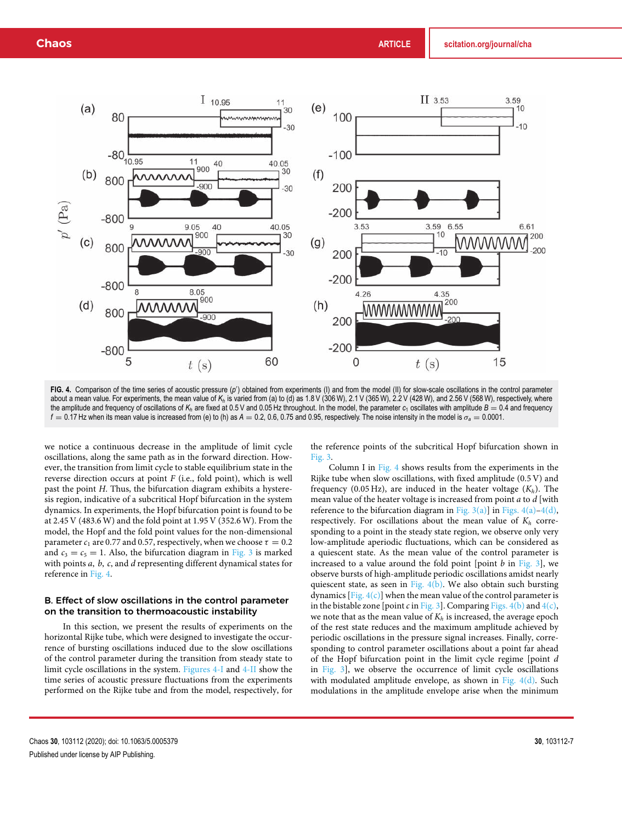

FIG. 4. Comparison of the time series of acoustic pressure (p') obtained from experiments (I) and from the model (II) for slow-scale oscillations in the control parameter about a mean value. For experiments, the mean value of  $K_h$  is varied from (a) to (d) as 1.8 V (306 W), 2.1 V (365 W),  $\dot{2}$ .2 V (428 W), and 2.56 V (568 W), respectively, where the amplitude and frequency of oscillations of  $K_h$  are fixed at 0.5 V and 0.05 Hz throughout. In the model, the parameter  $c_1$  oscillates with amplitude  $B = 0.4$  and frequency  $f = 0.17$  Hz when its mean value is increased from (e) to (h) as  $A = 0.2$ , 0.6, 0.75 and 0.95, respectively. The noise intensity in the model is  $\sigma_a = 0.0001$ .

we notice a continuous decrease in the amplitude of limit cycle oscillations, along the same path as in the forward direction. However, the transition from limit cycle to stable equilibrium state in the reverse direction occurs at point *F* (i.e., fold point), which is well past the point *H*. Thus, the bifurcation diagram exhibits a hysteresis region, indicative of a subcritical Hopf bifurcation in the system dynamics. In experiments, the Hopf bifurcation point is found to be at 2.45 V (483.6 W) and the fold point at 1.95 V (352.6 W). From the model, the Hopf and the fold point values for the non-dimensional parameter  $c_1$  are 0.77 and 0.57, respectively, when we choose  $\tau = 0.2$ and  $c_3 = c_5 = 1$ . Also, the bifurcation diagram in Fig. 3 is marked with points *a*, *b*, *c*, and *d* representing different dynamical states for reference in Fig. 4.

## B. Effect of slow oscillations in the control parameter on the transition to thermoacoustic instability

In this section, we present the results of experiments on the horizontal Rijke tube, which were designed to investigate the occurrence of bursting oscillations induced due to the slow oscillations of the control parameter during the transition from steady state to limit cycle oscillations in the system. Figures 4-I and 4-II show the time series of acoustic pressure fluctuations from the experiments performed on the Rijke tube and from the model, respectively, for the reference points of the subcritical Hopf bifurcation shown in Fig. 3.

Column I in Fig. 4 shows results from the experiments in the Rijke tube when slow oscillations, with fixed amplitude (0.5 V) and frequency (0.05 Hz), are induced in the heater voltage (*Kh*). The mean value of the heater voltage is increased from point *a* to *d* [with reference to the bifurcation diagram in Fig.  $3(a)$ ] in Figs.  $4(a) - 4(d)$ , respectively. For oscillations about the mean value of  $K_h$  corresponding to a point in the steady state region, we observe only very low-amplitude aperiodic fluctuations, which can be considered as a quiescent state. As the mean value of the control parameter is increased to a value around the fold point [point *b* in Fig. 3], we observe bursts of high-amplitude periodic oscillations amidst nearly quiescent state, as seen in Fig.  $4(b)$ . We also obtain such bursting dynamics  $[Fig. 4(c)]$  when the mean value of the control parameter is in the bistable zone [point *c* in Fig. 3]. Comparing Figs.  $4(b)$  and  $4(c)$ , we note that as the mean value of  $K_h$  is increased, the average epoch of the rest state reduces and the maximum amplitude achieved by periodic oscillations in the pressure signal increases. Finally, corresponding to control parameter oscillations about a point far ahead of the Hopf bifurcation point in the limit cycle regime [point *d* in Fig. 3], we observe the occurrence of limit cycle oscillations with modulated amplitude envelope, as shown in Fig.  $4(d)$ . Such modulations in the amplitude envelope arise when the minimum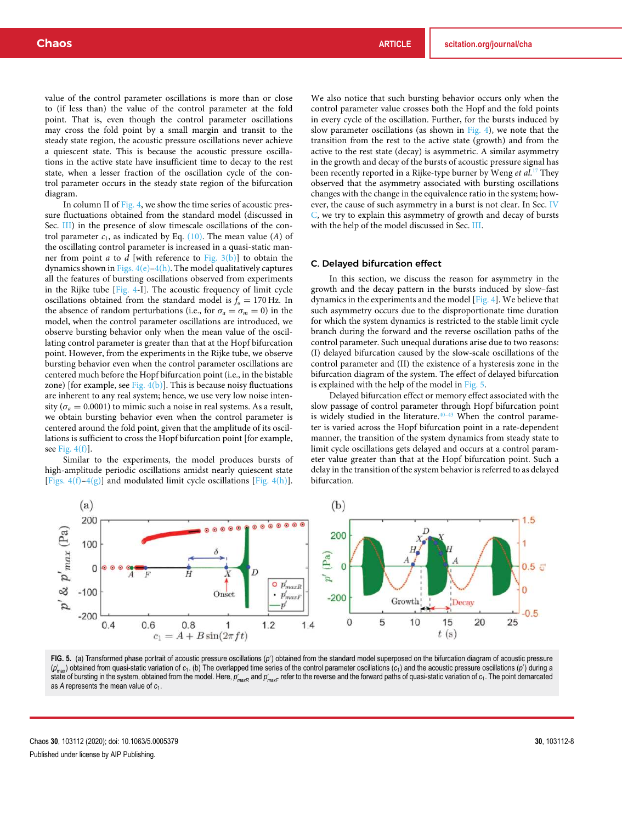value of the control parameter oscillations is more than or close to (if less than) the value of the control parameter at the fold point. That is, even though the control parameter oscillations may cross the fold point by a small margin and transit to the steady state region, the acoustic pressure oscillations never achieve a quiescent state. This is because the acoustic pressure oscillations in the active state have insufficient time to decay to the rest state, when a lesser fraction of the oscillation cycle of the control parameter occurs in the steady state region of the bifurcation diagram.

In column II of Fig. 4, we show the time series of acoustic pressure fluctuations obtained from the standard model (discussed in Sec. III) in the presence of slow timescale oscillations of the control parameter  $c_1$ , as indicated by Eq.  $(10)$ . The mean value  $(A)$  of the oscillating control parameter is increased in a quasi-static manner from point *a* to *d* [with reference to Fig.  $3(b)$ ] to obtain the dynamics shown in Figs.  $4(e) - 4(h)$ . The model qualitatively captures all the features of bursting oscillations observed from experiments in the Rijke tube [Fig. 4-I]. The acoustic frequency of limit cycle oscillations obtained from the standard model is  $f_a = 170$  Hz. In the absence of random perturbations (i.e., for  $\sigma_a = \sigma_m = 0$ ) in the model, when the control parameter oscillations are introduced, we observe bursting behavior only when the mean value of the oscillating control parameter is greater than that at the Hopf bifurcation point. However, from the experiments in the Rijke tube, we observe bursting behavior even when the control parameter oscillations are centered much before the Hopf bifurcation point (i.e., in the bistable zone) [for example, see Fig.  $4(b)$ ]. This is because noisy fluctuations are inherent to any real system; hence, we use very low noise intensity ( $\sigma_a = 0.0001$ ) to mimic such a noise in real systems. As a result, we obtain bursting behavior even when the control parameter is centered around the fold point, given that the amplitude of its oscillations is sufficient to cross the Hopf bifurcation point [for example, see Fig.  $4(f)$ .

Similar to the experiments, the model produces bursts of high-amplitude periodic oscillations amidst nearly quiescent state [Figs.  $4(f)-4(g)$ ] and modulated limit cycle oscillations [Fig.  $4(h)$ ].

We also notice that such bursting behavior occurs only when the control parameter value crosses both the Hopf and the fold points in every cycle of the oscillation. Further, for the bursts induced by slow parameter oscillations (as shown in Fig. 4), we note that the transition from the rest to the active state (growth) and from the active to the rest state (decay) is asymmetric. A similar asymmetry in the growth and decay of the bursts of acoustic pressure signal has been recently reported in a Rijke-type burner by Weng *et al.*<sup>17</sup> They observed that the asymmetry associated with bursting oscillations changes with the change in the equivalence ratio in the system; however, the cause of such asymmetry in a burst is not clear. In Sec. IV C, we try to explain this asymmetry of growth and decay of bursts with the help of the model discussed in Sec. III.

#### C. Delayed bifurcation effect

In this section, we discuss the reason for asymmetry in the growth and the decay pattern in the bursts induced by slow–fast dynamics in the experiments and the model [Fig. 4]. We believe that such asymmetry occurs due to the disproportionate time duration for which the system dynamics is restricted to the stable limit cycle branch during the forward and the reverse oscillation paths of the control parameter. Such unequal durations arise due to two reasons: (I) delayed bifurcation caused by the slow-scale oscillations of the control parameter and (II) the existence of a hysteresis zone in the bifurcation diagram of the system. The effect of delayed bifurcation is explained with the help of the model in Fig. 5.

Delayed bifurcation effect or memory effect associated with the slow passage of control parameter through Hopf bifurcation point is widely studied in the literature. $40-43$  When the control parameter is varied across the Hopf bifurcation point in a rate-dependent manner, the transition of the system dynamics from steady state to limit cycle oscillations gets delayed and occurs at a control parameter value greater than that at the Hopf bifurcation point. Such a delay in the transition of the system behavior is referred to as delayed bifurcation.



FIG. 5. (a) Transformed phase portrait of acoustic pressure oscillations (p') obtained from the standard model superposed on the bifurcation diagram of acoustic pressure (*p*<sup>(</sup><sub>max</sub>) obtained from quasi-static variation of *c*<sub>1</sub>. (b) The overlapped time series of the control parameter oscillations (*c*<sub>1</sub>) and the acoustic pressure oscillations (*p*') during a state of bursting in the system, obtained from the model. Here,  $\rho'_{\sf maxF}$  and  $\rho'_{\sf maxF}$  refer to the reverse and the forward paths of quasi-static variation of  $c_1$ . The point demarcated as *A* represents the mean value of *c*1.

Chaos **30**, 103112 (2020); doi: 10.1063/5.0005379 **30**, 103112-8 Published under license by AIP Publishing.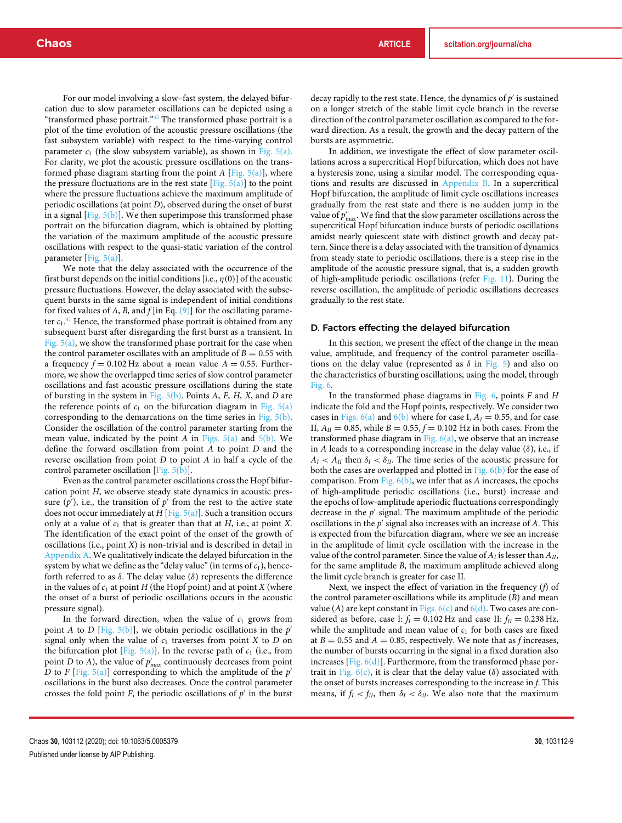For our model involving a slow–fast system, the delayed bifurcation due to slow parameter oscillations can be depicted using a "transformed phase portrait."<sup>42</sup> The transformed phase portrait is a plot of the time evolution of the acoustic pressure oscillations (the fast subsystem variable) with respect to the time-varying control parameter  $c_1$  (the slow subsystem variable), as shown in Fig. 5(a). For clarity, we plot the acoustic pressure oscillations on the transformed phase diagram starting from the point *A* [Fig. 5(a)], where the pressure fluctuations are in the rest state  $[Fig. 5(a)]$  to the point where the pressure fluctuations achieve the maximum amplitude of periodic oscillations (at point *D*), observed during the onset of burst in a signal  $[Fig. 5(b)]$ . We then superimpose this transformed phase portrait on the bifurcation diagram, which is obtained by plotting the variation of the maximum amplitude of the acoustic pressure oscillations with respect to the quasi-static variation of the control parameter [Fig. 5(a)].

We note that the delay associated with the occurrence of the first burst depends on the initial conditions [i.e.,  $\eta(0)$ ] of the acoustic pressure fluctuations. However, the delay associated with the subsequent bursts in the same signal is independent of initial conditions for fixed values of *A*, *B*, and *f* [in Eq. (9)] for the oscillating parameter  $c_1$ .<sup>41</sup> Hence, the transformed phase portrait is obtained from any subsequent burst after disregarding the first burst as a transient. In Fig. 5(a), we show the transformed phase portrait for the case when the control parameter oscillates with an amplitude of  $B = 0.55$  with a frequency  $f = 0.102$  Hz about a mean value  $A = 0.55$ . Furthermore, we show the overlapped time series of slow control parameter oscillations and fast acoustic pressure oscillations during the state of bursting in the system in Fig. 5(b). Points *A*, *F*, *H*, *X*, and *D* are the reference points of  $c_1$  on the bifurcation diagram in Fig.  $5(a)$ corresponding to the demarcations on the time series in Fig. 5(b). Consider the oscillation of the control parameter starting from the mean value, indicated by the point *A* in Figs.  $5(a)$  and  $5(b)$ . We define the forward oscillation from point *A* to point *D* and the reverse oscillation from point *D* to point *A* in half a cycle of the control parameter oscillation [Fig. 5(b)].

Even as the control parameter oscillations cross the Hopf bifurcation point *H*, we observe steady state dynamics in acoustic pressure  $(p')$ , i.e., the transition of  $p'$  from the rest to the active state does not occur immediately at *H* [Fig. 5(a)]. Such a transition occurs only at a value of  $c_1$  that is greater than that at *H*, i.e., at point *X*. The identification of the exact point of the onset of the growth of oscillations (i.e., point *X*) is non-trivial and is described in detail in Appendix A. We qualitatively indicate the delayed bifurcation in the system by what we define as the "delay value" (in terms of  $c_1$ ), henceforth referred to as  $\delta$ . The delay value ( $\delta$ ) represents the difference in the values of  $c_1$  at point  $H$  (the Hopf point) and at point  $X$  (where the onset of a burst of periodic oscillations occurs in the acoustic pressure signal).

In the forward direction, when the value of  $c_1$  grows from point *A* to *D* [Fig. 5(b)], we obtain periodic oscillations in the *p*' signal only when the value of  $c_1$  traverses from point  $X$  to  $D$  on the bifurcation plot [Fig.  $5(a)$ ]. In the reverse path of  $c_1$  (i.e., from point *D* to *A*), the value of  $p'_{max}$  continuously decreases from point *D* to *F* [Fig. 5(a)] corresponding to which the amplitude of the  $p'$ oscillations in the burst also decreases. Once the control parameter crosses the fold point  $F$ , the periodic oscillations of  $p'$  in the burst

decay rapidly to the rest state. Hence, the dynamics of *p* ′ is sustained on a longer stretch of the stable limit cycle branch in the reverse direction of the control parameter oscillation as compared to the forward direction. As a result, the growth and the decay pattern of the bursts are asymmetric.

In addition, we investigate the effect of slow parameter oscillations across a supercritical Hopf bifurcation, which does not have a hysteresis zone, using a similar model. The corresponding equations and results are discussed in Appendix B. In a supercritical Hopf bifurcation, the amplitude of limit cycle oscillations increases gradually from the rest state and there is no sudden jump in the value of  $p'_{\rm max}$ . We find that the slow parameter oscillations across the supercritical Hopf bifurcation induce bursts of periodic oscillations amidst nearly quiescent state with distinct growth and decay pattern. Since there is a delay associated with the transition of dynamics from steady state to periodic oscillations, there is a steep rise in the amplitude of the acoustic pressure signal, that is, a sudden growth of high-amplitude periodic oscillations (refer Fig. 11). During the reverse oscillation, the amplitude of periodic oscillations decreases gradually to the rest state.

#### D. Factors effecting the delayed bifurcation

In this section, we present the effect of the change in the mean value, amplitude, and frequency of the control parameter oscillations on the delay value (represented as  $\delta$  in Fig. 5) and also on the characteristics of bursting oscillations, using the model, through Fig. 6.

In the transformed phase diagrams in Fig. 6, points *F* and *H* indicate the fold and the Hopf points, respectively. We consider two cases in Figs.  $6(a)$  and  $6(b)$  where for case I,  $A<sub>I</sub> = 0.55$ , and for case II,  $A_{II} = 0.85$ , while  $B = 0.55$ ,  $f = 0.102$  Hz in both cases. From the transformed phase diagram in Fig.  $6(a)$ , we observe that an increase in *A* leads to a corresponding increase in the delay value  $(\delta)$ , i.e., if  $A_I < A_{II}$  then  $\delta_I < \delta_{II}$ . The time series of the acoustic pressure for both the cases are overlapped and plotted in Fig.  $6(b)$  for the ease of comparison. From Fig. 6(b), we infer that as *A* increases, the epochs of high-amplitude periodic oscillations (i.e., burst) increase and the epochs of low-amplitude aperiodic fluctuations correspondingly decrease in the *p* ′ signal. The maximum amplitude of the periodic oscillations in the *p* ′ signal also increases with an increase of *A*. This is expected from the bifurcation diagram, where we see an increase in the amplitude of limit cycle oscillation with the increase in the value of the control parameter. Since the value of  $A_I$  is lesser than  $A_{II}$ , for the same amplitude *B*, the maximum amplitude achieved along the limit cycle branch is greater for case II.

Next, we inspect the effect of variation in the frequency (*f*) of the control parameter oscillations while its amplitude (*B*) and mean value (*A*) are kept constant in Figs.  $6(c)$  and  $6(d)$ . Two cases are considered as before, case I:  $f_I = 0.102$  Hz and case II:  $f_{II} = 0.238$  Hz, while the amplitude and mean value of  $c_1$  for both cases are fixed at  $B = 0.55$  and  $A = 0.85$ , respectively. We note that as f increases, the number of bursts occurring in the signal in a fixed duration also increases  $[Fig. 6(d)]$ . Furthermore, from the transformed phase portrait in Fig.  $6(c)$ , it is clear that the delay value ( $\delta$ ) associated with the onset of bursts increases corresponding to the increase in *f*. This means, if  $f_I < f_{II}$ , then  $\delta_I < \delta_{II}$ . We also note that the maximum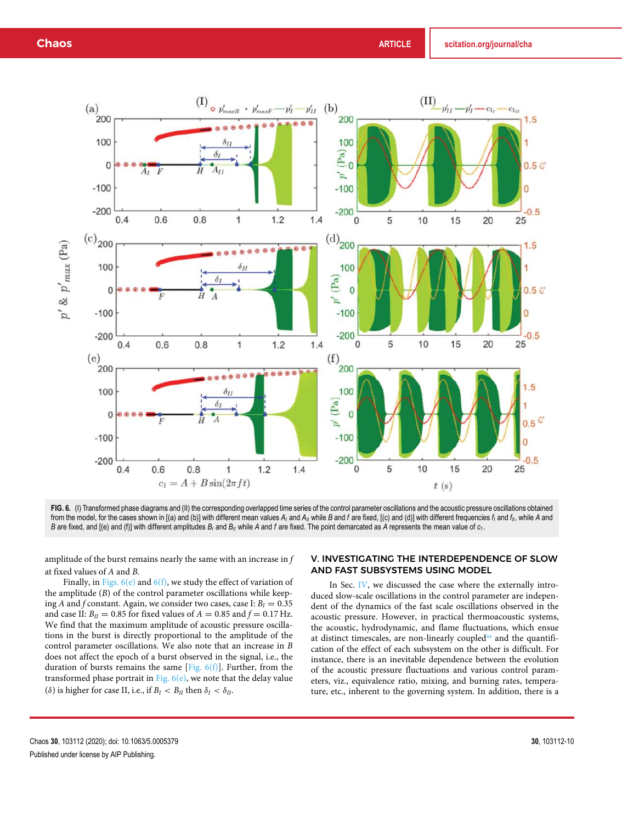

FIG. 6. (I) Transformed phase diagrams and (II) the corresponding overlapped time series of the control parameter oscillations and the acoustic pressure oscillations obtained from the model, for the cases shown in [(a) and (b)] with different mean values  $A_i$  and  $A_{ii}$  while B and f are fixed, [(c) and (d)] with different frequencies  $f_i$  and  $f_{ii}$ , while A and *B* are fixed, and [(e) and (f)] with different amplitudes *B<sup>I</sup>* and *BII* while *A* and *f* are fixed. The point demarcated as *A* represents the mean value of *c*1.

amplitude of the burst remains nearly the same with an increase in *f* at fixed values of *A* and *B*.

Finally, in Figs.  $6(e)$  and  $6(f)$ , we study the effect of variation of the amplitude (*B*) of the control parameter oscillations while keeping *A* and *f* constant. Again, we consider two cases, case I:  $B_I = 0.35$ and case II:  $B_{II} = 0.85$  for fixed values of  $A = 0.85$  and  $f = 0.17$  Hz. We find that the maximum amplitude of acoustic pressure oscillations in the burst is directly proportional to the amplitude of the control parameter oscillations. We also note that an increase in *B* does not affect the epoch of a burst observed in the signal, i.e., the duration of bursts remains the same [Fig.  $6(f)$ ]. Further, from the transformed phase portrait in Fig.  $6(e)$ , we note that the delay value ( $\delta$ ) is higher for case II, i.e., if  $B_I < B_{II}$  then  $\delta_I < \delta_{II}$ .

## V. INVESTIGATING THE INTERDEPENDENCE OF SLOW AND FAST SUBSYSTEMS USING MODEL

In Sec. IV, we discussed the case where the externally introduced slow-scale oscillations in the control parameter are independent of the dynamics of the fast scale oscillations observed in the acoustic pressure. However, in practical thermoacoustic systems, the acoustic, hydrodynamic, and flame fluctuations, which ensue at distinct timescales, are non-linearly coupled<sup>44</sup> and the quantification of the effect of each subsystem on the other is difficult. For instance, there is an inevitable dependence between the evolution of the acoustic pressure fluctuations and various control parameters, viz., equivalence ratio, mixing, and burning rates, temperature, etc., inherent to the governing system. In addition, there is a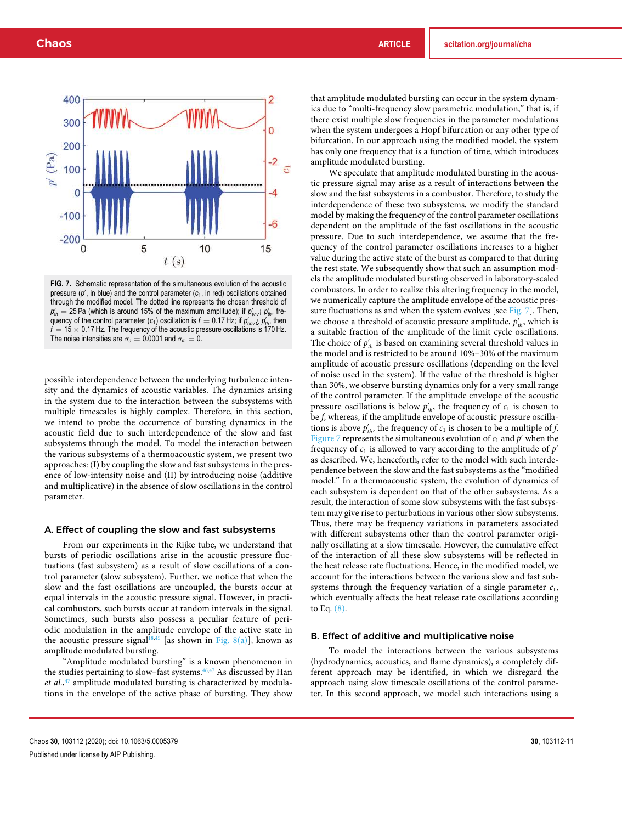

**FIG. 7.** Schematic representation of the simultaneous evolution of the acoustic pressure (p', in blue) and the control parameter (c<sub>1</sub>, in red) oscillations obtained through the modified model. The dotted line represents the chosen threshold of  $p'_{th}$  = 25 Pa (which is around 15% of the maximum amplitude); if  $p'_{env}$  i  $p'_{th}$ , frequency of the control parameter  $(c_1)$  oscillation is  $f = 0.17$  Hz; if  $p'_{env}$ ,  $p'_{th}$ , then  $f = 15 \times 0.17$  Hz. The frequency of the acoustic pressure oscillations is 170 Hz. The noise intensities are  $\sigma_a = 0.0001$  and  $\sigma_m = 0$ .

possible interdependence between the underlying turbulence intensity and the dynamics of acoustic variables. The dynamics arising in the system due to the interaction between the subsystems with multiple timescales is highly complex. Therefore, in this section, we intend to probe the occurrence of bursting dynamics in the acoustic field due to such interdependence of the slow and fast subsystems through the model. To model the interaction between the various subsystems of a thermoacoustic system, we present two approaches: (I) by coupling the slow and fast subsystems in the presence of low-intensity noise and (II) by introducing noise (additive and multiplicative) in the absence of slow oscillations in the control parameter.

#### A. Effect of coupling the slow and fast subsystems

From our experiments in the Rijke tube, we understand that bursts of periodic oscillations arise in the acoustic pressure fluctuations (fast subsystem) as a result of slow oscillations of a control parameter (slow subsystem). Further, we notice that when the slow and the fast oscillations are uncoupled, the bursts occur at equal intervals in the acoustic pressure signal. However, in practical combustors, such bursts occur at random intervals in the signal. Sometimes, such bursts also possess a peculiar feature of periodic modulation in the amplitude envelope of the active state in the acoustic pressure signal<sup>18,45</sup> [as shown in Fig. 8(a)], known as amplitude modulated bursting.

"Amplitude modulated bursting" is a known phenomenon in the studies pertaining to slow–fast systems.<sup>46,47</sup> As discussed by Han *et al.*, <sup>47</sup> amplitude modulated bursting is characterized by modulations in the envelope of the active phase of bursting. They show that amplitude modulated bursting can occur in the system dynamics due to "multi-frequency slow parametric modulation," that is, if there exist multiple slow frequencies in the parameter modulations when the system undergoes a Hopf bifurcation or any other type of bifurcation. In our approach using the modified model, the system has only one frequency that is a function of time, which introduces amplitude modulated bursting.

We speculate that amplitude modulated bursting in the acoustic pressure signal may arise as a result of interactions between the slow and the fast subsystems in a combustor. Therefore, to study the interdependence of these two subsystems, we modify the standard model by making the frequency of the control parameter oscillations dependent on the amplitude of the fast oscillations in the acoustic pressure. Due to such interdependence, we assume that the frequency of the control parameter oscillations increases to a higher value during the active state of the burst as compared to that during the rest state. We subsequently show that such an assumption models the amplitude modulated bursting observed in laboratory-scaled combustors. In order to realize this altering frequency in the model, we numerically capture the amplitude envelope of the acoustic pressure fluctuations as and when the system evolves [see Fig. 7]. Then, we choose a threshold of acoustic pressure amplitude,  $p'_{th}$ , which is a suitable fraction of the amplitude of the limit cycle oscillations. The choice of  $p'_{th}$  is based on examining several threshold values in the model and is restricted to be around 10%–30% of the maximum amplitude of acoustic pressure oscillations (depending on the level of noise used in the system). If the value of the threshold is higher than 30%, we observe bursting dynamics only for a very small range of the control parameter. If the amplitude envelope of the acoustic pressure oscillations is below  $p'_{th}$ , the frequency of  $c_1$  is chosen to be *f*, whereas, if the amplitude envelope of acoustic pressure oscillations is above  $p'_{th}$ , the frequency of  $c_1$  is chosen to be a multiple of *f*. Figure 7 represents the simultaneous evolution of  $c_1$  and  $p'$  when the frequency of  $c_1$  is allowed to vary according to the amplitude of  $p'$ as described. We, henceforth, refer to the model with such interdependence between the slow and the fast subsystems as the "modified model." In a thermoacoustic system, the evolution of dynamics of each subsystem is dependent on that of the other subsystems. As a result, the interaction of some slow subsystems with the fast subsystem may give rise to perturbations in various other slow subsystems. Thus, there may be frequency variations in parameters associated with different subsystems other than the control parameter originally oscillating at a slow timescale. However, the cumulative effect of the interaction of all these slow subsystems will be reflected in the heat release rate fluctuations. Hence, in the modified model, we account for the interactions between the various slow and fast subsystems through the frequency variation of a single parameter  $c_1$ , which eventually affects the heat release rate oscillations according to Eq. (8).

#### B. Effect of additive and multiplicative noise

To model the interactions between the various subsystems (hydrodynamics, acoustics, and flame dynamics), a completely different approach may be identified, in which we disregard the approach using slow timescale oscillations of the control parameter. In this second approach, we model such interactions using a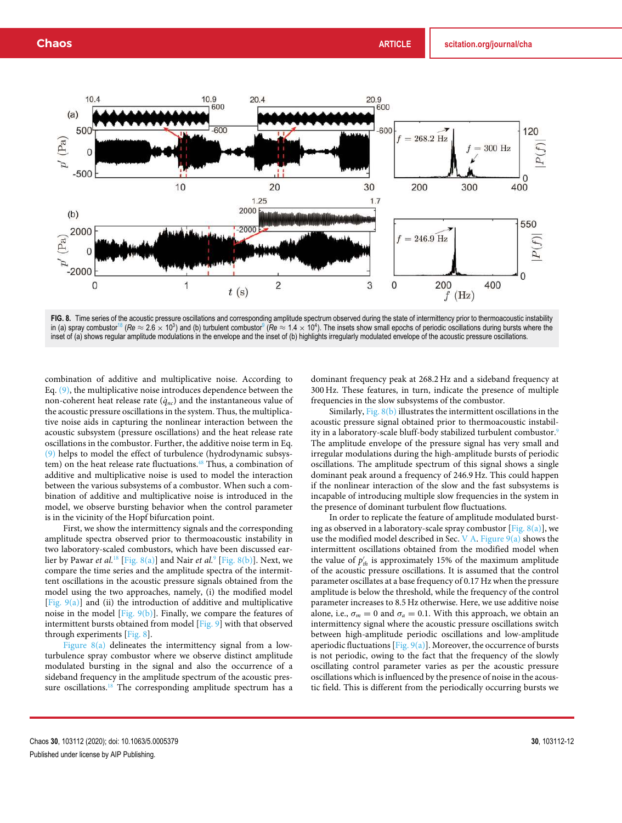

FIG. 8. Time series of the acoustic pressure oscillations and corresponding amplitude spectrum observed during the state of intermittency prior to thermoacoustic instability in (a) spray combustor<sup>18</sup> (*Re* ≈ 2.6 × 10<sup>3</sup>) and (b) turbulent combustor<sup>9</sup> (*Re* ≈ 1.4 × 10<sup>4</sup>). The insets show small epochs of periodic oscillations during bursts where the inset of (a) shows regular amplitude modulations in the envelope and the inset of (b) highlights irregularly modulated envelope of the acoustic pressure oscillations.

combination of additive and multiplicative noise. According to Eq. (9), the multiplicative noise introduces dependence between the non-coherent heat release rate  $(\dot{q}_{nc})$  and the instantaneous value of the acoustic pressure oscillations in the system. Thus, the multiplicative noise aids in capturing the nonlinear interaction between the acoustic subsystem (pressure oscillations) and the heat release rate oscillations in the combustor. Further, the additive noise term in Eq. (9) helps to model the effect of turbulence (hydrodynamic subsystem) on the heat release rate fluctuations.<sup>48</sup> Thus, a combination of additive and multiplicative noise is used to model the interaction between the various subsystems of a combustor. When such a combination of additive and multiplicative noise is introduced in the model, we observe bursting behavior when the control parameter is in the vicinity of the Hopf bifurcation point.

First, we show the intermittency signals and the corresponding amplitude spectra observed prior to thermoacoustic instability in two laboratory-scaled combustors, which have been discussed earlier by Pawar *et al.*<sup>18</sup> [Fig. 8(a)] and Nair *et al.*<sup>9</sup> [Fig. 8(b)]. Next, we compare the time series and the amplitude spectra of the intermittent oscillations in the acoustic pressure signals obtained from the model using the two approaches, namely, (i) the modified model [Fig. 9(a)] and (ii) the introduction of additive and multiplicative noise in the model [Fig.  $9(b)$ ]. Finally, we compare the features of intermittent bursts obtained from model [Fig. 9] with that observed through experiments [Fig. 8].

Figure  $8(a)$  delineates the intermittency signal from a lowturbulence spray combustor where we observe distinct amplitude modulated bursting in the signal and also the occurrence of a sideband frequency in the amplitude spectrum of the acoustic pressure oscillations.<sup>18</sup> The corresponding amplitude spectrum has a dominant frequency peak at 268.2 Hz and a sideband frequency at 300 Hz. These features, in turn, indicate the presence of multiple frequencies in the slow subsystems of the combustor.

Similarly, Fig.  $8(b)$  illustrates the intermittent oscillations in the acoustic pressure signal obtained prior to thermoacoustic instability in a laboratory-scale bluff-body stabilized turbulent combustor.<sup>9</sup> The amplitude envelope of the pressure signal has very small and irregular modulations during the high-amplitude bursts of periodic oscillations. The amplitude spectrum of this signal shows a single dominant peak around a frequency of 246.9 Hz. This could happen if the nonlinear interaction of the slow and the fast subsystems is incapable of introducing multiple slow frequencies in the system in the presence of dominant turbulent flow fluctuations.

In order to replicate the feature of amplitude modulated bursting as observed in a laboratory-scale spray combustor [Fig.  $8(a)$ ], we use the modified model described in Sec. V A. Figure  $9(a)$  shows the intermittent oscillations obtained from the modified model when the value of  $p'_{th}$  is approximately 15% of the maximum amplitude of the acoustic pressure oscillations. It is assumed that the control parameter oscillates at a base frequency of 0.17 Hz when the pressure amplitude is below the threshold, while the frequency of the control parameter increases to 8.5 Hz otherwise. Here, we use additive noise alone, i.e.,  $\sigma_m = 0$  and  $\sigma_a = 0.1$ . With this approach, we obtain an intermittency signal where the acoustic pressure oscillations switch between high-amplitude periodic oscillations and low-amplitude aperiodic fluctuations [Fig.  $9(a)$ ]. Moreover, the occurrence of bursts is not periodic, owing to the fact that the frequency of the slowly oscillating control parameter varies as per the acoustic pressure oscillations which is influenced by the presence of noise in the acoustic field. This is different from the periodically occurring bursts we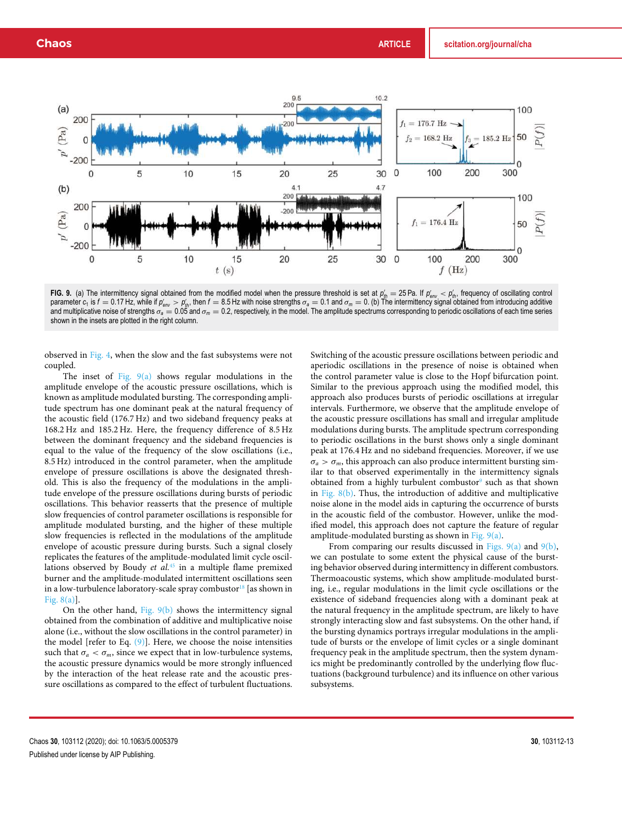

FIG. 9. (a) The intermittency signal obtained from the modified model when the pressure threshold is set at  $\rho'_{th} = 25$  Pa. If  $\rho'_{env} < \rho'_{th}$ , frequency of oscillating control<br>parameter  $c_1$  is  $f = 0.17$  Hz, while if and multiplicative noise of strengths  $\sigma_a = 0.05$  and  $\sigma_m = 0.2$ , respectively, in the model. The amplitude spectrums corresponding to periodic oscillations of each time series shown in the insets are plotted in the right column.

observed in Fig. 4, when the slow and the fast subsystems were not coupled.

The inset of Fig. 9(a) shows regular modulations in the amplitude envelope of the acoustic pressure oscillations, which is known as amplitude modulated bursting. The corresponding amplitude spectrum has one dominant peak at the natural frequency of the acoustic field (176.7 Hz) and two sideband frequency peaks at 168.2 Hz and 185.2 Hz. Here, the frequency difference of 8.5 Hz between the dominant frequency and the sideband frequencies is equal to the value of the frequency of the slow oscillations (i.e., 8.5 Hz) introduced in the control parameter, when the amplitude envelope of pressure oscillations is above the designated threshold. This is also the frequency of the modulations in the amplitude envelope of the pressure oscillations during bursts of periodic oscillations. This behavior reasserts that the presence of multiple slow frequencies of control parameter oscillations is responsible for amplitude modulated bursting, and the higher of these multiple slow frequencies is reflected in the modulations of the amplitude envelope of acoustic pressure during bursts. Such a signal closely replicates the features of the amplitude-modulated limit cycle oscillations observed by Boudy *et al.*<sup>45</sup> in a multiple flame premixed burner and the amplitude-modulated intermittent oscillations seen in a low-turbulence laboratory-scale spray combustor $^{18}$  [as shown in Fig. 8(a)].

On the other hand, Fig. 9(b) shows the intermittency signal obtained from the combination of additive and multiplicative noise alone (i.e., without the slow oscillations in the control parameter) in the model [refer to Eq.  $(9)$ ]. Here, we choose the noise intensities such that  $\sigma_a < \sigma_m$ , since we expect that in low-turbulence systems, the acoustic pressure dynamics would be more strongly influenced by the interaction of the heat release rate and the acoustic pressure oscillations as compared to the effect of turbulent fluctuations. Switching of the acoustic pressure oscillations between periodic and aperiodic oscillations in the presence of noise is obtained when the control parameter value is close to the Hopf bifurcation point. Similar to the previous approach using the modified model, this approach also produces bursts of periodic oscillations at irregular intervals. Furthermore, we observe that the amplitude envelope of the acoustic pressure oscillations has small and irregular amplitude modulations during bursts. The amplitude spectrum corresponding to periodic oscillations in the burst shows only a single dominant peak at 176.4 Hz and no sideband frequencies. Moreover, if we use  $\sigma_a > \sigma_m$ , this approach can also produce intermittent bursting similar to that observed experimentally in the intermittency signals obtained from a highly turbulent combustor<sup>9</sup> such as that shown in Fig.  $8(b)$ . Thus, the introduction of additive and multiplicative noise alone in the model aids in capturing the occurrence of bursts in the acoustic field of the combustor. However, unlike the modified model, this approach does not capture the feature of regular amplitude-modulated bursting as shown in Fig.  $9(a)$ .

From comparing our results discussed in Figs.  $9(a)$  and  $9(b)$ , we can postulate to some extent the physical cause of the bursting behavior observed during intermittency in different combustors. Thermoacoustic systems, which show amplitude-modulated bursting, i.e., regular modulations in the limit cycle oscillations or the existence of sideband frequencies along with a dominant peak at the natural frequency in the amplitude spectrum, are likely to have strongly interacting slow and fast subsystems. On the other hand, if the bursting dynamics portrays irregular modulations in the amplitude of bursts or the envelope of limit cycles or a single dominant frequency peak in the amplitude spectrum, then the system dynamics might be predominantly controlled by the underlying flow fluctuations (background turbulence) and its influence on other various subsystems.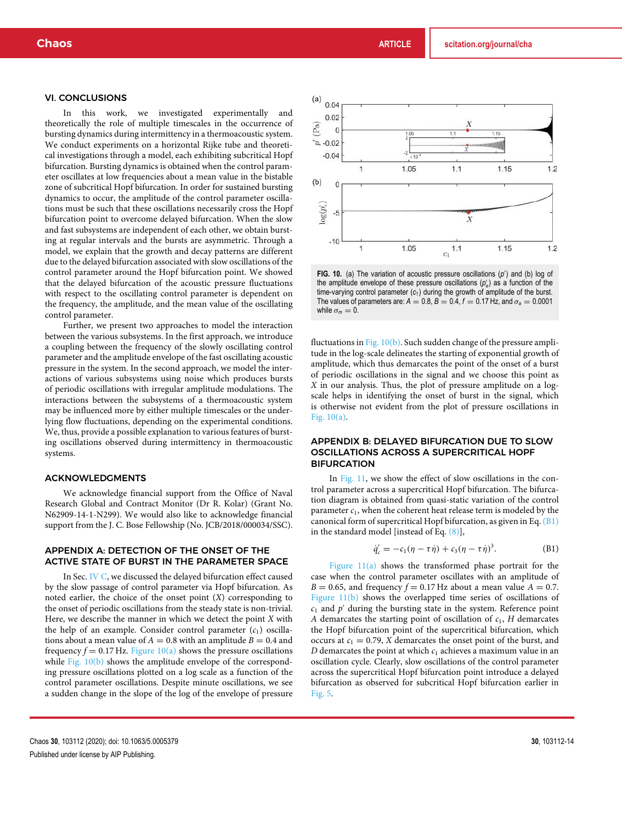#### VI. CONCLUSIONS

In this work, we investigated experimentally and theoretically the role of multiple timescales in the occurrence of bursting dynamics during intermittency in a thermoacoustic system. We conduct experiments on a horizontal Rijke tube and theoretical investigations through a model, each exhibiting subcritical Hopf bifurcation. Bursting dynamics is obtained when the control parameter oscillates at low frequencies about a mean value in the bistable zone of subcritical Hopf bifurcation. In order for sustained bursting dynamics to occur, the amplitude of the control parameter oscillations must be such that these oscillations necessarily cross the Hopf bifurcation point to overcome delayed bifurcation. When the slow and fast subsystems are independent of each other, we obtain bursting at regular intervals and the bursts are asymmetric. Through a model, we explain that the growth and decay patterns are different due to the delayed bifurcation associated with slow oscillations of the control parameter around the Hopf bifurcation point. We showed that the delayed bifurcation of the acoustic pressure fluctuations with respect to the oscillating control parameter is dependent on the frequency, the amplitude, and the mean value of the oscillating control parameter.

Further, we present two approaches to model the interaction between the various subsystems. In the first approach, we introduce a coupling between the frequency of the slowly oscillating control parameter and the amplitude envelope of the fast oscillating acoustic pressure in the system. In the second approach, we model the interactions of various subsystems using noise which produces bursts of periodic oscillations with irregular amplitude modulations. The interactions between the subsystems of a thermoacoustic system may be influenced more by either multiple timescales or the underlying flow fluctuations, depending on the experimental conditions. We, thus, provide a possible explanation to various features of bursting oscillations observed during intermittency in thermoacoustic systems.

### ACKNOWLEDGMENTS

We acknowledge financial support from the Office of Naval Research Global and Contract Monitor (Dr R. Kolar) (Grant No. N62909-14-1-N299). We would also like to acknowledge financial support from the J. C. Bose Fellowship (No. JCB/2018/000034/SSC).

#### APPENDIX A: DETECTION OF THE ONSET OF THE ACTIVE STATE OF BURST IN THE PARAMETER SPACE

In Sec. IV C, we discussed the delayed bifurcation effect caused by the slow passage of control parameter via Hopf bifurcation. As noted earlier, the choice of the onset point (*X*) corresponding to the onset of periodic oscillations from the steady state is non-trivial. Here, we describe the manner in which we detect the point *X* with the help of an example. Consider control parameter  $(c_1)$  oscillations about a mean value of  $A = 0.8$  with an amplitude  $B = 0.4$  and frequency  $f = 0.17$  Hz. Figure 10(a) shows the pressure oscillations while Fig. 10(b) shows the amplitude envelope of the corresponding pressure oscillations plotted on a log scale as a function of the control parameter oscillations. Despite minute oscillations, we see a sudden change in the slope of the log of the envelope of pressure



FIG. 10. (a) The variation of acoustic pressure oscillations (p') and (b) log of the amplitude envelope of these pressure oscillations (p'<sub>e</sub>) as a function of the time-varying control parameter ( $c_1$ ) during the growth of amplitude of the burst. The values of parameters are:  $A = 0.8$ ,  $B = 0.4$ ,  $f = 0.17$  Hz, and  $\sigma_a = 0.0001$ while  $\sigma_m = 0$ .

fluctuations in Fig. 10(b). Such sudden change of the pressure amplitude in the log-scale delineates the starting of exponential growth of amplitude, which thus demarcates the point of the onset of a burst of periodic oscillations in the signal and we choose this point as *X* in our analysis. Thus, the plot of pressure amplitude on a logscale helps in identifying the onset of burst in the signal, which is otherwise not evident from the plot of pressure oscillations in Fig. 10(a).

## APPENDIX B: DELAYED BIFURCATION DUE TO SLOW OSCILLATIONS ACROSS A SUPERCRITICAL HOPF **BIFURCATION**

In Fig. 11, we show the effect of slow oscillations in the control parameter across a supercritical Hopf bifurcation. The bifurcation diagram is obtained from quasi-static variation of the control parameter  $c_1$ , when the coherent heat release term is modeled by the canonical form of supercritical Hopf bifurcation, as given in Eq.  $(B1)$ in the standard model [instead of Eq. (8)],

$$
\dot{q}'_c = -c_1(\eta - \tau \dot{\eta}) + c_3(\eta - \tau \dot{\eta})^3. \tag{B1}
$$

Figure  $11(a)$  shows the transformed phase portrait for the case when the control parameter oscillates with an amplitude of  $B = 0.65$ , and frequency  $f = 0.17$  Hz about a mean value  $A = 0.7$ . Figure 11(b) shows the overlapped time series of oscillations of  $c_1$  and  $p'$  during the bursting state in the system. Reference point *A* demarcates the starting point of oscillation of  $c_1$ , *H* demarcates the Hopf bifurcation point of the supercritical bifurcation, which occurs at  $c_1 = 0.79$ , *X* demarcates the onset point of the burst, and  $D$  demarcates the point at which  $c_1$  achieves a maximum value in an oscillation cycle. Clearly, slow oscillations of the control parameter across the supercritical Hopf bifurcation point introduce a delayed bifurcation as observed for subcritical Hopf bifurcation earlier in Fig. 5.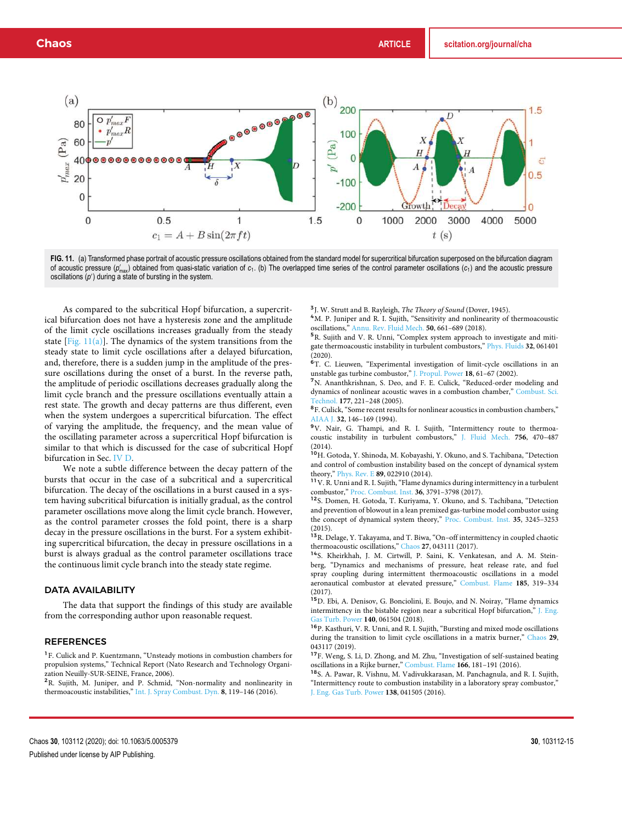

FIG. 11. (a) Transformed phase portrait of acoustic pressure oscillations obtained from the standard model for supercritical bifurcation superposed on the bifurcation diagram of acoustic pressure (p/<sub>max</sub>) obtained from quasi-static variation of c<sub>1</sub>. (b) The overlapped time series of the control parameter oscillations (c<sub>1</sub>) and the acoustic pressure oscillations  $(p')$  during a state of bursting in the system.

As compared to the subcritical Hopf bifurcation, a supercritical bifurcation does not have a hysteresis zone and the amplitude of the limit cycle oscillations increases gradually from the steady state  $[Fig. 11(a)]$ . The dynamics of the system transitions from the steady state to limit cycle oscillations after a delayed bifurcation, and, therefore, there is a sudden jump in the amplitude of the pressure oscillations during the onset of a burst. In the reverse path, the amplitude of periodic oscillations decreases gradually along the limit cycle branch and the pressure oscillations eventually attain a rest state. The growth and decay patterns are thus different, even when the system undergoes a supercritical bifurcation. The effect of varying the amplitude, the frequency, and the mean value of the oscillating parameter across a supercritical Hopf bifurcation is similar to that which is discussed for the case of subcritical Hopf bifurcation in Sec. IV D.

We note a subtle difference between the decay pattern of the bursts that occur in the case of a subcritical and a supercritical bifurcation. The decay of the oscillations in a burst caused in a system having subcritical bifurcation is initially gradual, as the control parameter oscillations move along the limit cycle branch. However, as the control parameter crosses the fold point, there is a sharp decay in the pressure oscillations in the burst. For a system exhibiting supercritical bifurcation, the decay in pressure oscillations in a burst is always gradual as the control parameter oscillations trace the continuous limit cycle branch into the steady state regime.

### DATA AVAILABILITY

The data that support the findings of this study are available from the corresponding author upon reasonable request.

#### REFERENCES

<sup>1</sup>F. Culick and P. Kuentzmann, "Unsteady motions in combustion chambers for propulsion systems," Technical Report (Nato Research and Technology Organization Neuilly-SUR-SEINE, France, 2006).

<sup>2</sup>R. Sujith, M. Juniper, and P. Schmid, "Non-normality and nonlinearity in thermoacoustic instabilities," Int. J. Spray Combust. Dyn. **8**, 119–146 (2016).

3 J. W. Strutt and B. Rayleigh, *The Theory of Sound* (Dover, 1945).

<sup>4</sup>M. P. Juniper and R. I. Sujith, "Sensitivity and nonlinearity of thermoacoustic oscillations," Annu. Rev. Fluid Mech. **50**, 661–689 (2018).

<sup>5</sup>R. Sujith and V. R. Unni, "Complex system approach to investigate and mitigate thermoacoustic instability in turbulent combustors," Phys. Fluids **32**, 061401 (2020).

<sup>6</sup>T. C. Lieuwen, "Experimental investigation of limit-cycle oscillations in an unstable gas turbine combustor," J. Propul. Power **18**, 61–67 (2002).

<sup>7</sup>N. Ananthkrishnan, S. Deo, and F. E. Culick, "Reduced-order modeling and dynamics of nonlinear acoustic waves in a combustion chamber," Combust. Sci. Technol. **177**, 221–248 (2005).

<sup>8</sup>F. Culick, "Some recent results for nonlinear acoustics in combustion chambers," AIAA J. **32**, 146–169 (1994).

<sup>9</sup>V. Nair, G. Thampi, and R. I. Sujith, "Intermittency route to thermoacoustic instability in turbulent combustors," J. Fluid Mech. **756**, 470–487

(2014).<br><sup>10</sup>H. Gotoda, Y. Shinoda, M. Kobayashi, Y. Okuno, and S. Tachibana, "Detection and control of combustion instability based on the concept of dynamical system theory," Phys. Rev. E **89**, 022910 (2014).

<sup>11</sup>V. R. Unni and R. I. Sujith, "Flame dynamics during intermittency in a turbulent combustor," Proc. Combust. Inst. **36**, 3791–3798 (2017).

<sup>12</sup>S. Domen, H. Gotoda, T. Kuriyama, Y. Okuno, and S. Tachibana, "Detection and prevention of blowout in a lean premixed gas-turbine model combustor using the concept of dynamical system theory," Proc. Combust. Inst. **35**, 3245–3253

(2015).<br><sup>13</sup>R. Delage, Y. Takayama, and T. Biwa, "On–off intermittency in coupled chaotic thermoacoustic oscillations," Chaos **27**, 043111 (2017).

<sup>14</sup>S. Kheirkhah, J. M. Cirtwill, P. Saini, K. Venkatesan, and A. M. Steinberg, "Dynamics and mechanisms of pressure, heat release rate, and fuel spray coupling during intermittent thermoacoustic oscillations in a model aeronautical combustor at elevated pressure," Combust. Flame **185**, 319–334 (2017).

<sup>15</sup>D. Ebi, A. Denisov, G. Bonciolini, E. Boujo, and N. Noiray, "Flame dynamics intermittency in the bistable region near a subcritical Hopf bifurcation," J. Eng. Gas Turb. Power **140**, 061504 (2018).

<sup>16</sup>P. Kasthuri, V. R. Unni, and R. I. Sujith, "Bursting and mixed mode oscillations during the transition to limit cycle oscillations in a matrix burner," Chaos **29**, 043117 (2019).

<sup>17</sup>F. Weng, S. Li, D. Zhong, and M. Zhu, "Investigation of self-sustained beating oscillations in a Rijke burner," Combust. Flame **166**, 181–191 (2016).

<sup>18</sup>S. A. Pawar, R. Vishnu, M. Vadivukkarasan, M. Panchagnula, and R. I. Sujith, "Intermittency route to combustion instability in a laboratory spray combustor," J. Eng. Gas Turb. Power **138**, 041505 (2016).